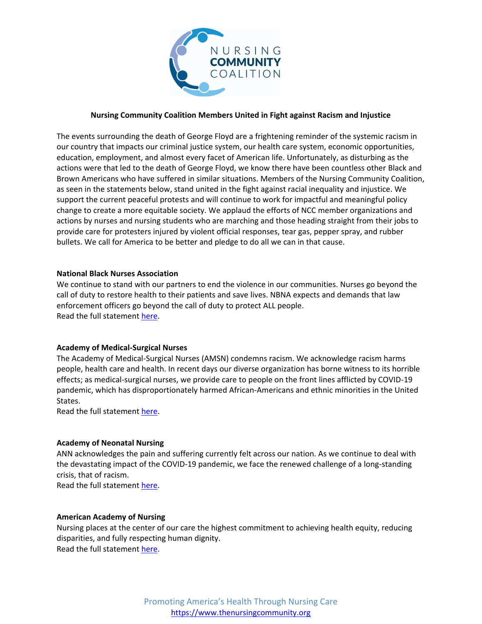

# **Nursing Community Coalition Members United in Fight against Racism and Injustice**

The events surrounding the death of George Floyd are a frightening reminder of the systemic racism in our country that impacts our criminal justice system, our health care system, economic opportunities, education, employment, and almost every facet of American life. Unfortunately, as disturbing as the actions were that led to the death of George Floyd, we know there have been countless other Black and Brown Americans who have suffered in similar situations. Members of the Nursing Community Coalition, as seen in the statements below, stand united in the fight against racial inequality and injustice. We support the current peaceful protests and will continue to work for impactful and meaningful policy change to create a more equitable society. We applaud the efforts of NCC member organizations and actions by nurses and nursing students who are marching and those heading straight from their jobs to provide care for protesters injured by violent official responses, tear gas, pepper spray, and rubber bullets. We call for America to be better and pledge to do all we can in that cause.

## **National Black Nurses Association**

We continue to stand with our partners to end the violence in our communities. Nurses go beyond the call of duty to restore health to their patients and save lives. NBNA expects and demands that law enforcement officers go beyond the call of duty to protect ALL people. Read the full statemen[t here.](https://files.constantcontact.com/96631cd6201/e0f56fb0-6f7c-4122-ab1a-0b35ed4f60e1.pdf)

# **Academy of Medical-Surgical Nurses**

The Academy of Medical-Surgical Nurses (AMSN) condemns racism. We acknowledge racism harms people, health care and health. In recent days our diverse organization has borne witness to its horrible effects; as medical-surgical nurses, we provide care to people on the front lines afflicted by COVID-19 pandemic, which has disproportionately harmed African-Americans and ethnic minorities in the United States.

Read the full statemen[t here.](https://www.amsn.org/amsn-statement-against-racism-for-healing)

## **Academy of Neonatal Nursing**

ANN acknowledges the pain and suffering currently felt across our nation. As we continue to deal with the devastating impact of the COVID-19 pandemic, we face the renewed challenge of a long-standing crisis, that of racism.

Read the full statemen[t here.](https://cdn.ymaws.com/www.academyonline.org/resource/resmgr/docs/atimeforchangejune2020.pdf)

# **American Academy of Nursing**

Nursing places at the center of our care the highest commitment to achieving health equity, reducing disparities, and fully respecting human dignity. Read the full statemen[t here.](https://www.aannet.org/news/press-releases/position-statement-on-racism)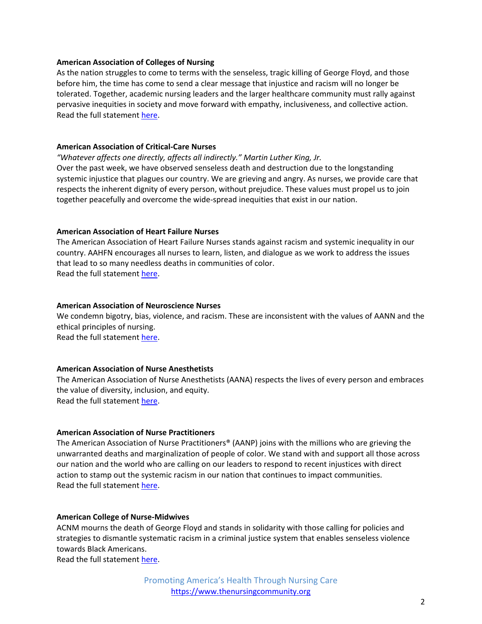## **American Association of Colleges of Nursing**

As the nation struggles to come to terms with the senseless, tragic killing of George Floyd, and those before him, the time has come to send a clear message that injustice and racism will no longer be tolerated. Together, academic nursing leaders and the larger healthcare community must rally against pervasive inequities in society and move forward with empathy, inclusiveness, and collective action. Read the full statemen[t here.](https://www.aacnnursing.org/News-Information/News/View/ArticleId/24635/statement-liberty-justice)

## **American Association of Critical-Care Nurses**

*"Whatever affects one directly, affects all indirectly." Martin Luther King, Jr.* Over the past week, we have observed senseless death and destruction due to the longstanding systemic injustice that plagues our country. We are grieving and angry. As nurses, we provide care that respects the inherent dignity of every person, without prejudice. These values must propel us to join together peacefully and overcome the wide-spread inequities that exist in our nation.

### **American Association of Heart Failure Nurses**

The American Association of Heart Failure Nurses stands against racism and systemic inequality in our country. AAHFN encourages all nurses to learn, listen, and dialogue as we work to address the issues that lead to so many needless deaths in communities of color. Read the full statemen[t here.](https://twitter.com/AAHFN/status/1268612033437667328/photo/1)

### **American Association of Neuroscience Nurses**

We condemn bigotry, bias, violence, and racism. These are inconsistent with the values of AANN and the ethical principles of nursing. Read the full statemen[t here.](http://aann.org/about/diversity-inclusion)

## **American Association of Nurse Anesthetists**

The American Association of Nurse Anesthetists (AANA) respects the lives of every person and embraces the value of diversity, inclusion, and equity. Read the full statemen[t here.](https://www.aana.com/home/aana-updates/2020/06/01/aana-leaders-issue-statement-on-the-death-of-george-floyd)

### **American Association of Nurse Practitioners**

The American Association of Nurse Practitioners® (AANP) joins with the millions who are grieving the unwarranted deaths and marginalization of people of color. We stand with and support all those across our nation and the world who are calling on our leaders to respond to recent injustices with direct action to stamp out the systemic racism in our nation that continues to impact communities. Read the full statemen[t here.](https://www.aanp.org/news-feed/racism-is-a-public-health-issue-in-need-of-decisive-action#.XtaIa-VeLqw.twitter)

#### **American College of Nurse-Midwives**

ACNM mourns the death of George Floyd and stands in solidarity with those calling for policies and strategies to dismantle systematic racism in a criminal justice system that enables senseless violence towards Black Americans.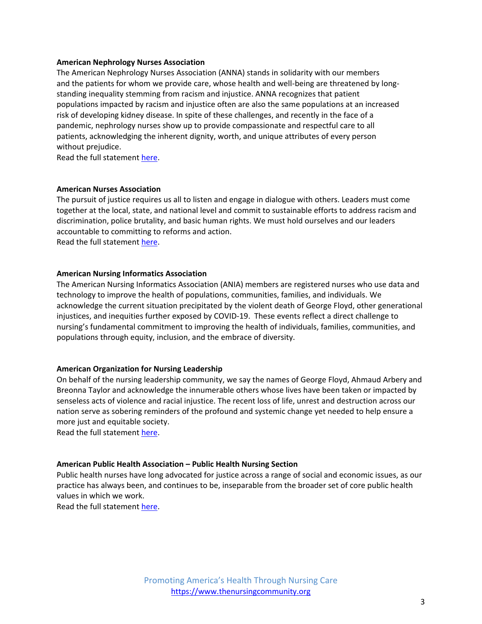## **American Nephrology Nurses Association**

The American Nephrology Nurses Association (ANNA) stands in solidarity with our members and the patients for whom we provide care, whose health and well-being are threatened by longstanding inequality stemming from racism and injustice. ANNA recognizes that patient populations impacted by racism and injustice often are also the same populations at an increased risk of developing kidney disease. In spite of these challenges, and recently in the face of a pandemic, nephrology nurses show up to provide compassionate and respectful care to all patients, acknowledging the inherent dignity, worth, and unique attributes of every person without prejudice.

Read the full statemen[t here.](https://www.annanurse.org/anna-statement-on-racism)

### **American Nurses Association**

The pursuit of justice requires us all to listen and engage in dialogue with others. Leaders must come together at the local, state, and national level and commit to sustainable efforts to address racism and discrimination, police brutality, and basic human rights. We must hold ourselves and our leaders accountable to committing to reforms and action. Read the full statemen[t here.](https://www.nursingworld.org/news/news-releases/2020/ana-president-condemns-racism-brutality-and-senseless-violence-against-black-communities/)

### **American Nursing Informatics Association**

The American Nursing Informatics Association (ANIA) members are registered nurses who use data and technology to improve the health of populations, communities, families, and individuals. We acknowledge the current situation precipitated by the violent death of George Floyd, other generational injustices, and inequities further exposed by COVID-19. These events reflect a direct challenge to nursing's fundamental commitment to improving the health of individuals, families, communities, and populations through equity, inclusion, and the embrace of diversity.

## **American Organization for Nursing Leadership**

On behalf of the nursing leadership community, we say the names of George Floyd, Ahmaud Arbery and Breonna Taylor and acknowledge the innumerable others whose lives have been taken or impacted by senseless acts of violence and racial injustice. The recent loss of life, unrest and destruction across our nation serve as sobering reminders of the profound and systemic change yet needed to help ensure a more just and equitable society.

Read the full statemen[t here.](https://www.aonl.org/press-releases/statement-aonl-ceo-robyn-begley)

## **American Public Health Association – Public Health Nursing Section**

Public health nurses have long advocated for justice across a range of social and economic issues, as our practice has always been, and continues to be, inseparable from the broader set of core public health values in which we work.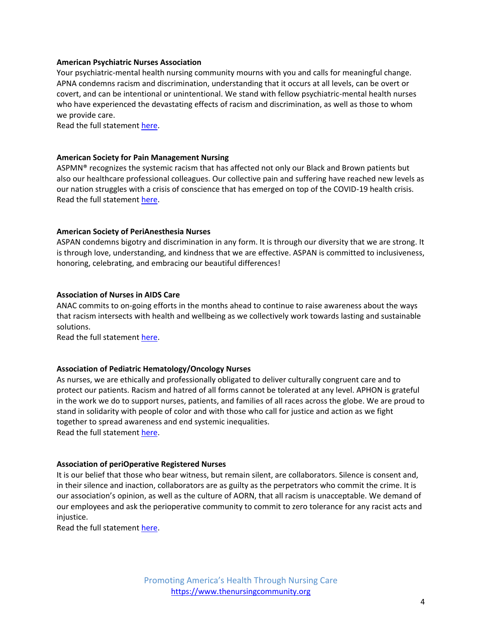## **American Psychiatric Nurses Association**

Your psychiatric-mental health nursing community mourns with you and calls for meaningful change. APNA condemns racism and discrimination, understanding that it occurs at all levels, can be overt or covert, and can be intentional or unintentional. We stand with fellow psychiatric-mental health nurses who have experienced the devastating effects of racism and discrimination, as well as those to whom we provide care.

Read the full statemen[t here.](https://www.apna.org/i4a/pages/index.cfm?pageID=6705)

#### **American Society for Pain Management Nursing**

ASPMN® recognizes the systemic racism that has affected not only our Black and Brown patients but also our healthcare professional colleagues. Our collective pain and suffering have reached new levels as our nation struggles with a crisis of conscience that has emerged on top of the COVID-19 health crisis. Read the full statemen[t here.](http://www.aspmn.org/whoweare/Pages/presidentsmessage.aspx)

### **American Society of PeriAnesthesia Nurses**

ASPAN condemns bigotry and discrimination in any form. It is through our diversity that we are strong. It is through love, understanding, and kindness that we are effective. ASPAN is committed to inclusiveness, honoring, celebrating, and embracing our beautiful differences!

### **Association of Nurses in AIDS Care**

ANAC commits to on-going efforts in the months ahead to continue to raise awareness about the ways that racism intersects with health and wellbeing as we collectively work towards lasting and sustainable solutions.

Read the full statemen[t here.](https://www.nursesinaidscare.org/files/2020%20Attachments/ANAC_responds_to_anti-Black_sentiment_and_the_murder_of_George_Floyd_6_6_20.pdf)

## **Association of Pediatric Hematology/Oncology Nurses**

As nurses, we are ethically and professionally obligated to deliver culturally congruent care and to protect our patients. Racism and hatred of all forms cannot be tolerated at any level. APHON is grateful in the work we do to support nurses, patients, and families of all races across the globe. We are proud to stand in solidarity with people of color and with those who call for justice and action as we fight together to spread awareness and end systemic inequalities. Read the full statemen[t here.](https://aphon.org/about-us/press-room)

### **Association of periOperative Registered Nurses**

It is our belief that those who bear witness, but remain silent, are collaborators. Silence is consent and, in their silence and inaction, collaborators are as guilty as the perpetrators who commit the crime. It is our association's opinion, as well as the culture of AORN, that all racism is unacceptable. We demand of our employees and ask the perioperative community to commit to zero tolerance for any racist acts and injustice.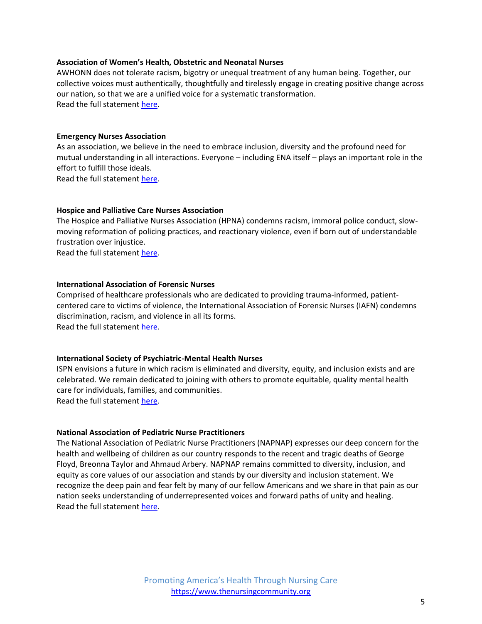## **Association of Women's Health, Obstetric and Neonatal Nurses**

AWHONN does not tolerate racism, bigotry or unequal treatment of any human being. Together, our collective voices must authentically, thoughtfully and tirelessly engage in creating positive change across our nation, so that we are a unified voice for a systematic transformation. Read the full statemen[t here.](https://awhonn.org/a-statement-from-awhonn/)

## **Emergency Nurses Association**

As an association, we believe in the need to embrace inclusion, diversity and the profound need for mutual understanding in all interactions. Everyone – including ENA itself – plays an important role in the effort to fulfill those ideals.

Read the full statemen[t here.](https://www.facebook.com/ENAorg/posts/10157320538177849)

## **Hospice and Palliative Care Nurses Association**

The Hospice and Palliative Nurses Association (HPNA) condemns racism, immoral police conduct, slowmoving reformation of policing practices, and reactionary violence, even if born out of understandable frustration over injustice.

Read the full statemen[t here.](https://advancingexpertcare.org/HPNAweb/Protection_of_Human_Rights.aspx)

## **International Association of Forensic Nurses**

Comprised of healthcare professionals who are dedicated to providing trauma-informed, patientcentered care to victims of violence, the International Association of Forensic Nurses (IAFN) condemns discrimination, racism, and violence in all its forms. Read the full statemen[t here.](https://www.forensicnurses.org/page/policebrutality)

## **International Society of Psychiatric-Mental Health Nurses**

ISPN envisions a future in which racism is eliminated and diversity, equity, and inclusion exists and are celebrated. We remain dedicated to joining with others to promote equitable, quality mental health care for individuals, families, and communities. Read the full statemen[t here.](https://www.ispn-psych.org/)

## **National Association of Pediatric Nurse Practitioners**

The National Association of Pediatric Nurse Practitioners (NAPNAP) expresses our deep concern for the health and wellbeing of children as our country responds to the recent and tragic deaths of George Floyd, Breonna Taylor and Ahmaud Arbery. NAPNAP remains committed to diversity, inclusion, and equity as core values of our association and stands by our diversity and inclusion statement. We recognize the deep pain and fear felt by many of our fellow Americans and we share in that pain as our nation seeks understanding of underrepresented voices and forward paths of unity and healing. Read the full statemen[t here.](https://www.napnap.org/napnap-statement-discrimination-and-child-health)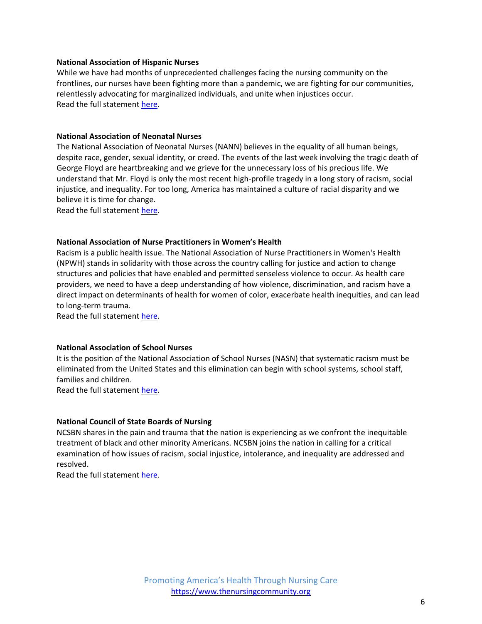## **National Association of Hispanic Nurses**

While we have had months of unprecedented challenges facing the nursing community on the frontlines, our nurses have been fighting more than a pandemic, we are fighting for our communities, relentlessly advocating for marginalized individuals, and unite when injustices occur. Read the full statemen[t here.](https://nahnnet.org/?WebsiteKey=7b8d5dc9-61e1-4774-b09d-64fd89d9579b)

## **National Association of Neonatal Nurses**

The National Association of Neonatal Nurses (NANN) believes in the equality of all human beings, despite race, gender, sexual identity, or creed. The events of the last week involving the tragic death of George Floyd are heartbreaking and we grieve for the unnecessary loss of his precious life. We understand that Mr. Floyd is only the most recent high-profile tragedy in a long story of racism, social injustice, and inequality. For too long, America has maintained a culture of racial disparity and we believe it is time for change.

Read the full statemen[t here.](http://nann.org/about/nann-in-the-news)

## **National Association of Nurse Practitioners in Women's Health**

Racism is a public health issue. The National Association of Nurse Practitioners in Women's Health (NPWH) stands in solidarity with those across the country calling for justice and action to change structures and policies that have enabled and permitted senseless violence to occur. As health care providers, we need to have a deep understanding of how violence, discrimination, and racism have a direct impact on determinants of health for women of color, exacerbate health inequities, and can lead to long-term trauma.

Read the full statemen[t here.](https://myemail.constantcontact.com/NPWH-Statement-Condemning-Violence-and-Racism.html?soid=1102186362561&aid=EH_YWwqcHkc)

## **National Association of School Nurses**

It is the position of the National Association of School Nurses (NASN) that systematic racism must be eliminated from the United States and this elimination can begin with school systems, school staff, families and children.

Read the full statemen[t here.](https://www.nasn.org/nasn/advocacy/professional-practice-documents/positionbriefs/pb-racism)

# **National Council of State Boards of Nursing**

NCSBN shares in the pain and trauma that the nation is experiencing as we confront the inequitable treatment of black and other minority Americans. NCSBN joins the nation in calling for a critical examination of how issues of racism, social injustice, intolerance, and inequality are addressed and resolved.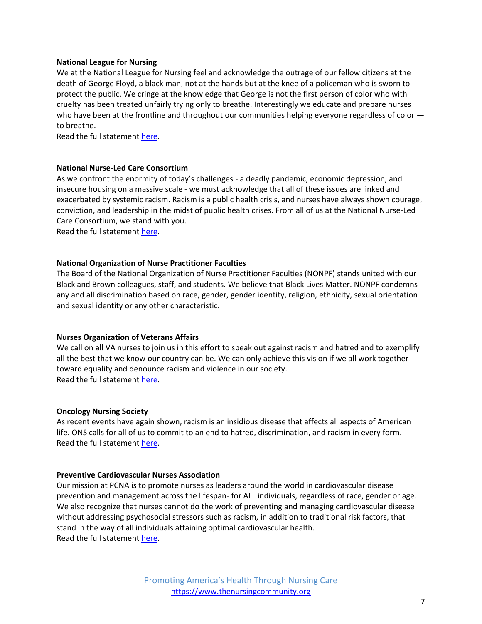## **National League for Nursing**

We at the National League for Nursing feel and acknowledge the outrage of our fellow citizens at the death of George Floyd, a black man, not at the hands but at the knee of a policeman who is sworn to protect the public. We cringe at the knowledge that George is not the first person of color who with cruelty has been treated unfairly trying only to breathe. Interestingly we educate and prepare nurses who have been at the frontline and throughout our communities helping everyone regardless of color  $$ to breathe.

Read the full statemen[t here.](http://www.nln.org/newsroom/news-releases/news-release/2020/06/01/national-league-for-nursing-stands-by-those-affected-by-injustices-anywhere)

## **National Nurse-Led Care Consortium**

As we confront the enormity of today's challenges - a deadly pandemic, economic depression, and insecure housing on a massive scale - we must acknowledge that all of these issues are linked and exacerbated by systemic racism. Racism is a public health crisis, and nurses have always shown courage, conviction, and leadership in the midst of public health crises. From all of us at the National Nurse-Led Care Consortium, we stand with you.

Read the full statemen[t here.](https://nurseledcare.phmc.org/news-nurse/item/798-black-lives-matter.html)

#### **National Organization of Nurse Practitioner Faculties**

The Board of the National Organization of Nurse Practitioner Faculties (NONPF) stands united with our Black and Brown colleagues, staff, and students. We believe that Black Lives Matter. NONPF condemns any and all discrimination based on race, gender, gender identity, religion, ethnicity, sexual orientation and sexual identity or any other characteristic.

### **Nurses Organization of Veterans Affairs**

We call on all VA nurses to join us in this effort to speak out against racism and hatred and to exemplify all the best that we know our country can be. We can only achieve this vision if we all work together toward equality and denounce racism and violence in our society. Read the full statemen[t here.](https://www.vanurse.org/news/510652/NOVA-Denounces-Racism-and-Discrimination.htm)

#### **Oncology Nursing Society**

As recent events have again shown, racism is an insidious disease that affects all aspects of American life. ONS calls for all of us to commit to an end to hatred, discrimination, and racism in every form. Read the full statemen[t here.](https://www.ons.org/ons-condemns-racism)

## **Preventive Cardiovascular Nurses Association**

Our mission at PCNA is to promote nurses as leaders around the world in cardiovascular disease prevention and management across the lifespan- for ALL individuals, regardless of race, gender or age. We also recognize that nurses cannot do the work of preventing and managing cardiovascular disease without addressing psychosocial stressors such as racism, in addition to traditional risk factors, that stand in the way of all individuals attaining optimal cardiovascular health. Read the full statemen[t here.](https://pcna.net/letter-from-the-president-health-equity/)